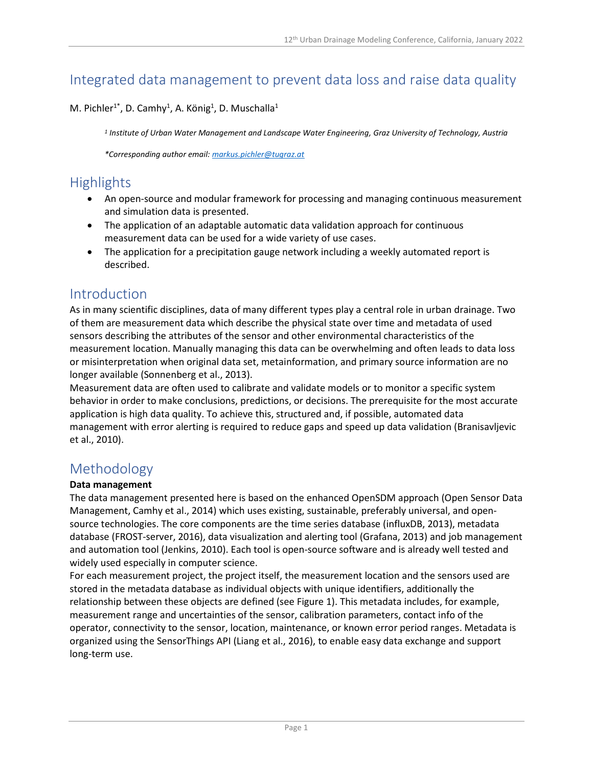# Integrated data management to prevent data loss and raise data quality

### M. Pichler<sup>1\*</sup>, D. Camhy<sup>1</sup>, A. König<sup>1</sup>, D. Muschalla<sup>1</sup>

*1 Institute of Urban Water Management and Landscape Water Engineering, Graz University of Technology, Austria*

*\*Corresponding author email: [markus.pichler@tugraz.at](mailto:markus.pichler@tugraz.at)*

# **Highlights**

- An open-source and modular framework for processing and managing continuous measurement and simulation data is presented.
- The application of an adaptable automatic data validation approach for continuous measurement data can be used for a wide variety of use cases.
- The application for a precipitation gauge network including a weekly automated report is described.

## Introduction

As in many scientific disciplines, data of many different types play a central role in urban drainage. Two of them are measurement data which describe the physical state over time and metadata of used sensors describing the attributes of the sensor and other environmental characteristics of the measurement location. Manually managing this data can be overwhelming and often leads to data loss or misinterpretation when original data set, metainformation, and primary source information are no longer available (Sonnenberg et al., 2013).

Measurement data are often used to calibrate and validate models or to monitor a specific system behavior in order to make conclusions, predictions, or decisions. The prerequisite for the most accurate application is high data quality. To achieve this, structured and, if possible, automated data management with error alerting is required to reduce gaps and speed up data validation (Branisavljevic et al., 2010).

## Methodology

#### **Data management**

The data management presented here is based on the enhanced OpenSDM approach (Open Sensor Data Management, Camhy et al., 2014) which uses existing, sustainable, preferably universal, and opensource technologies. The core components are the time series database (influxDB, 2013), metadata database (FROST-server, 2016), data visualization and alerting tool (Grafana, 2013) and job management and automation tool (Jenkins, 2010). Each tool is open-source software and is already well tested and widely used especially in computer science.

For each measurement project, the project itself, the measurement location and the sensors used are stored in the metadata database as individual objects with unique identifiers, additionally the relationship between these objects are defined (see Figure 1). This metadata includes, for example, measurement range and uncertainties of the sensor, calibration parameters, contact info of the operator, connectivity to the sensor, location, maintenance, or known error period ranges. Metadata is organized using the SensorThings API (Liang et al., 2016), to enable easy data exchange and support long-term use.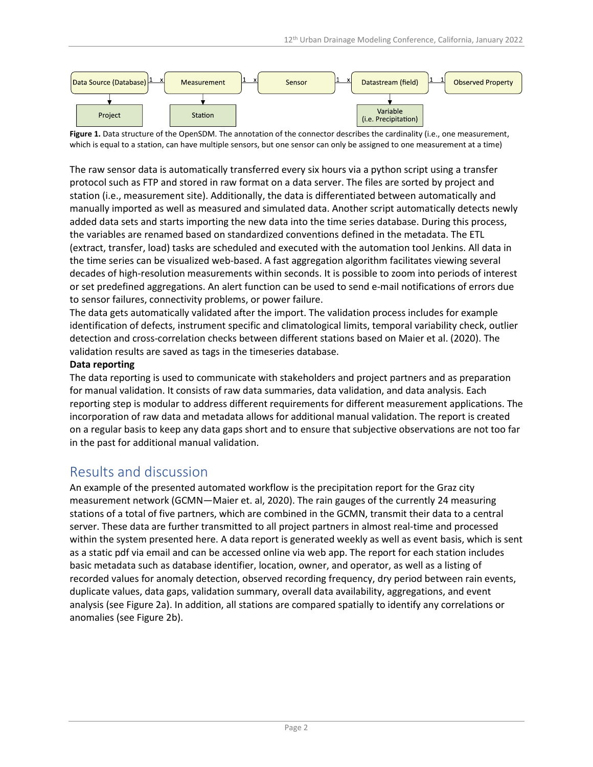

Figure 1. Data structure of the OpenSDM. The annotation of the connector describes the cardinality (i.e., one measurement, which is equal to a station, can have multiple sensors, but one sensor can only be assigned to one measurement at a time)

The raw sensor data is automatically transferred every six hours via a python script using a transfer protocol such as FTP and stored in raw format on a data server. The files are sorted by project and station (i.e., measurement site). Additionally, the data is differentiated between automatically and manually imported as well as measured and simulated data. Another script automatically detects newly added data sets and starts importing the new data into the time series database. During this process, the variables are renamed based on standardized conventions defined in the metadata. The ETL (extract, transfer, load) tasks are scheduled and executed with the automation tool Jenkins. All data in the time series can be visualized web-based. A fast aggregation algorithm facilitates viewing several decades of high-resolution measurements within seconds. It is possible to zoom into periods of interest or set predefined aggregations. An alert function can be used to send e-mail notifications of errors due to sensor failures, connectivity problems, or power failure.

The data gets automatically validated after the import. The validation process includes for example identification of defects, instrument specific and climatological limits, temporal variability check, outlier detection and cross-correlation checks between different stations based on Maier et al. (2020). The validation results are saved as tags in the timeseries database.

#### **Data reporting**

The data reporting is used to communicate with stakeholders and project partners and as preparation for manual validation. It consists of raw data summaries, data validation, and data analysis. Each reporting step is modular to address different requirements for different measurement applications. The incorporation of raw data and metadata allows for additional manual validation. The report is created on a regular basis to keep any data gaps short and to ensure that subjective observations are not too far in the past for additional manual validation.

### Results and discussion

An example of the presented automated workflow is the precipitation report for the Graz city measurement network (GCMN—Maier et. al, 2020). The rain gauges of the currently 24 measuring stations of a total of five partners, which are combined in the GCMN, transmit their data to a central server. These data are further transmitted to all project partners in almost real-time and processed within the system presented here. A data report is generated weekly as well as event basis, which is sent as a static pdf via email and can be accessed online via web app. The report for each station includes basic metadata such as database identifier, location, owner, and operator, as well as a listing of recorded values for anomaly detection, observed recording frequency, dry period between rain events, duplicate values, data gaps, validation summary, overall data availability, aggregations, and event analysis (see Figure 2a). In addition, all stations are compared spatially to identify any correlations or anomalies (see Figure 2b).